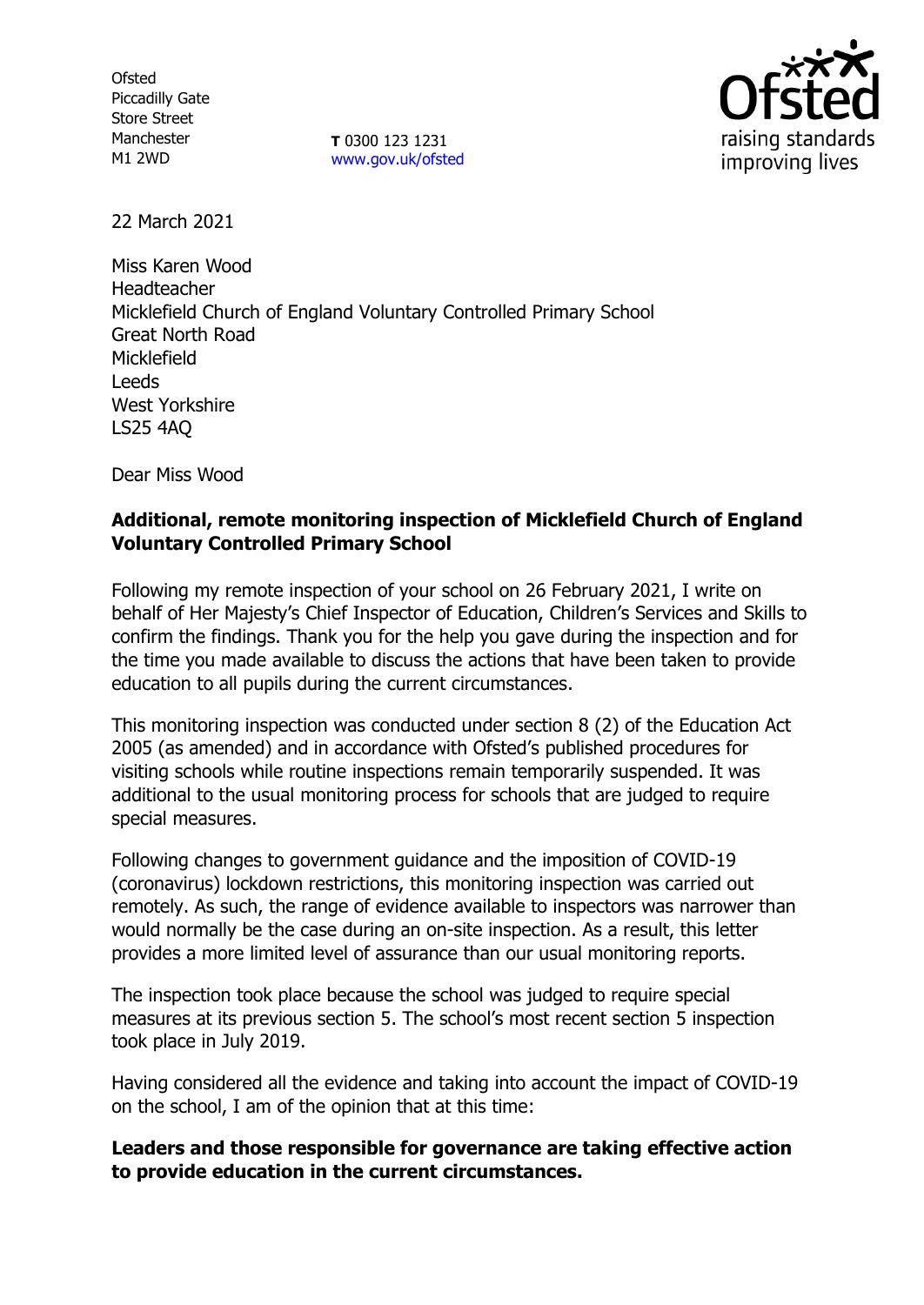**Ofsted** Piccadilly Gate Store Street Manchester M1 2WD

**T** 0300 123 1231 [www.gov.uk/ofsted](http://www.gov.uk/ofsted)



22 March 2021

Miss Karen Wood Headteacher Micklefield Church of England Voluntary Controlled Primary School Great North Road Micklefield Leeds West Yorkshire LS25 4AQ

Dear Miss Wood

# **Additional, remote monitoring inspection of Micklefield Church of England Voluntary Controlled Primary School**

Following my remote inspection of your school on 26 February 2021, I write on behalf of Her Majesty's Chief Inspector of Education, Children's Services and Skills to confirm the findings. Thank you for the help you gave during the inspection and for the time you made available to discuss the actions that have been taken to provide education to all pupils during the current circumstances.

This monitoring inspection was conducted under section 8 (2) of the Education Act 2005 (as amended) and in accordance with Ofsted's published procedures for visiting schools while routine inspections remain temporarily suspended. It was additional to the usual monitoring process for schools that are judged to require special measures.

Following changes to government guidance and the imposition of COVID-19 (coronavirus) lockdown restrictions, this monitoring inspection was carried out remotely. As such, the range of evidence available to inspectors was narrower than would normally be the case during an on-site inspection. As a result, this letter provides a more limited level of assurance than our usual monitoring reports.

The inspection took place because the school was judged to require special measures at its previous section 5. The school's most recent section 5 inspection took place in July 2019.

Having considered all the evidence and taking into account the impact of COVID-19 on the school, I am of the opinion that at this time:

# **Leaders and those responsible for governance are taking effective action to provide education in the current circumstances.**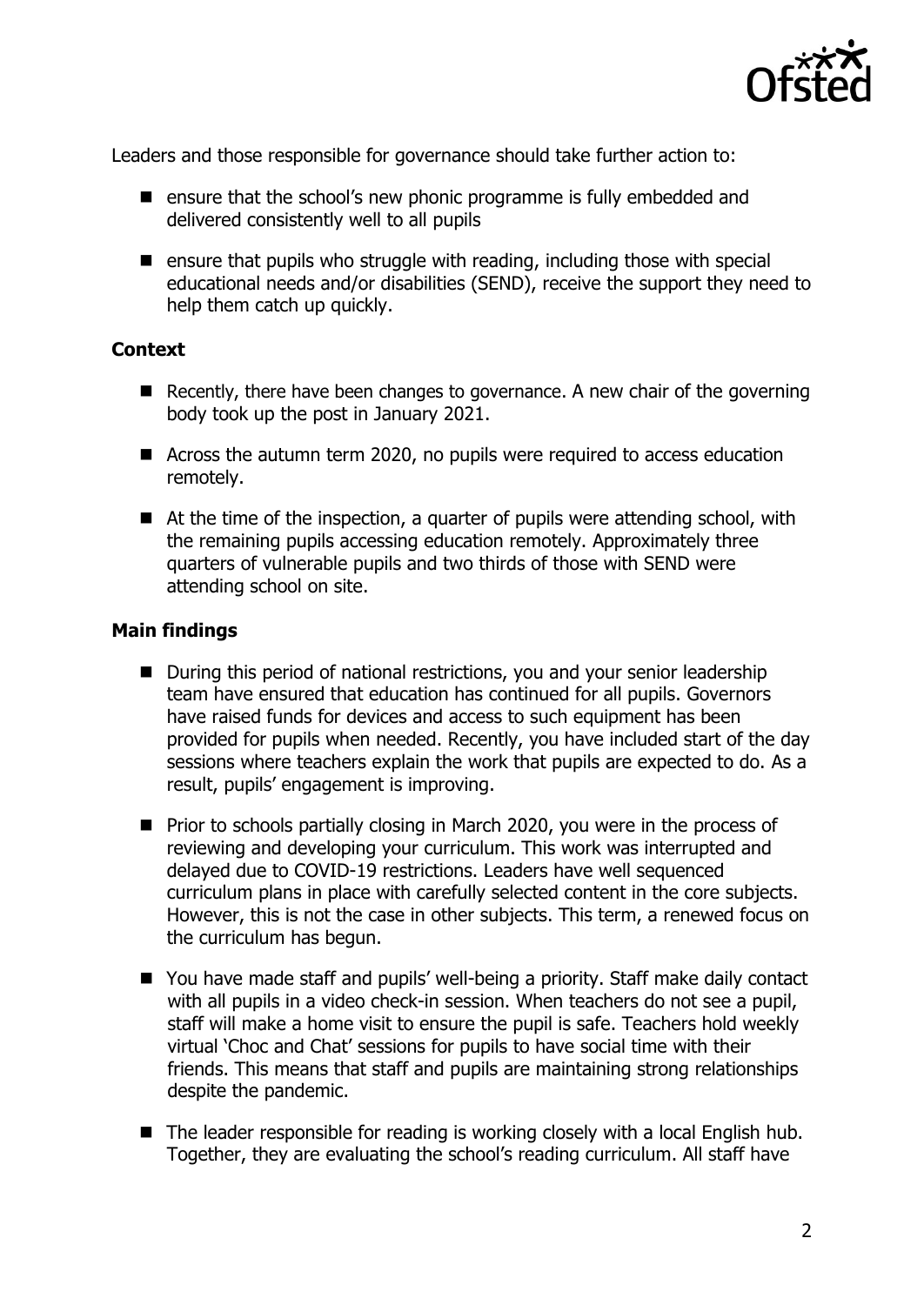

Leaders and those responsible for governance should take further action to:

- $\blacksquare$  ensure that the school's new phonic programme is fully embedded and delivered consistently well to all pupils
- **E** ensure that pupils who struggle with reading, including those with special educational needs and/or disabilities (SEND), receive the support they need to help them catch up quickly.

## **Context**

- Recently, there have been changes to governance. A new chair of the governing body took up the post in January 2021.
- Across the autumn term 2020, no pupils were required to access education remotely.
- At the time of the inspection, a quarter of pupils were attending school, with the remaining pupils accessing education remotely. Approximately three quarters of vulnerable pupils and two thirds of those with SEND were attending school on site.

## **Main findings**

- During this period of national restrictions, you and your senior leadership team have ensured that education has continued for all pupils. Governors have raised funds for devices and access to such equipment has been provided for pupils when needed. Recently, you have included start of the day sessions where teachers explain the work that pupils are expected to do. As a result, pupils' engagement is improving.
- **Prior to schools partially closing in March 2020, you were in the process of** reviewing and developing your curriculum. This work was interrupted and delayed due to COVID-19 restrictions. Leaders have well sequenced curriculum plans in place with carefully selected content in the core subjects. However, this is not the case in other subjects. This term, a renewed focus on the curriculum has begun.
- You have made staff and pupils' well-being a priority. Staff make daily contact with all pupils in a video check-in session. When teachers do not see a pupil, staff will make a home visit to ensure the pupil is safe. Teachers hold weekly virtual 'Choc and Chat' sessions for pupils to have social time with their friends. This means that staff and pupils are maintaining strong relationships despite the pandemic.
- $\blacksquare$  The leader responsible for reading is working closely with a local English hub. Together, they are evaluating the school's reading curriculum. All staff have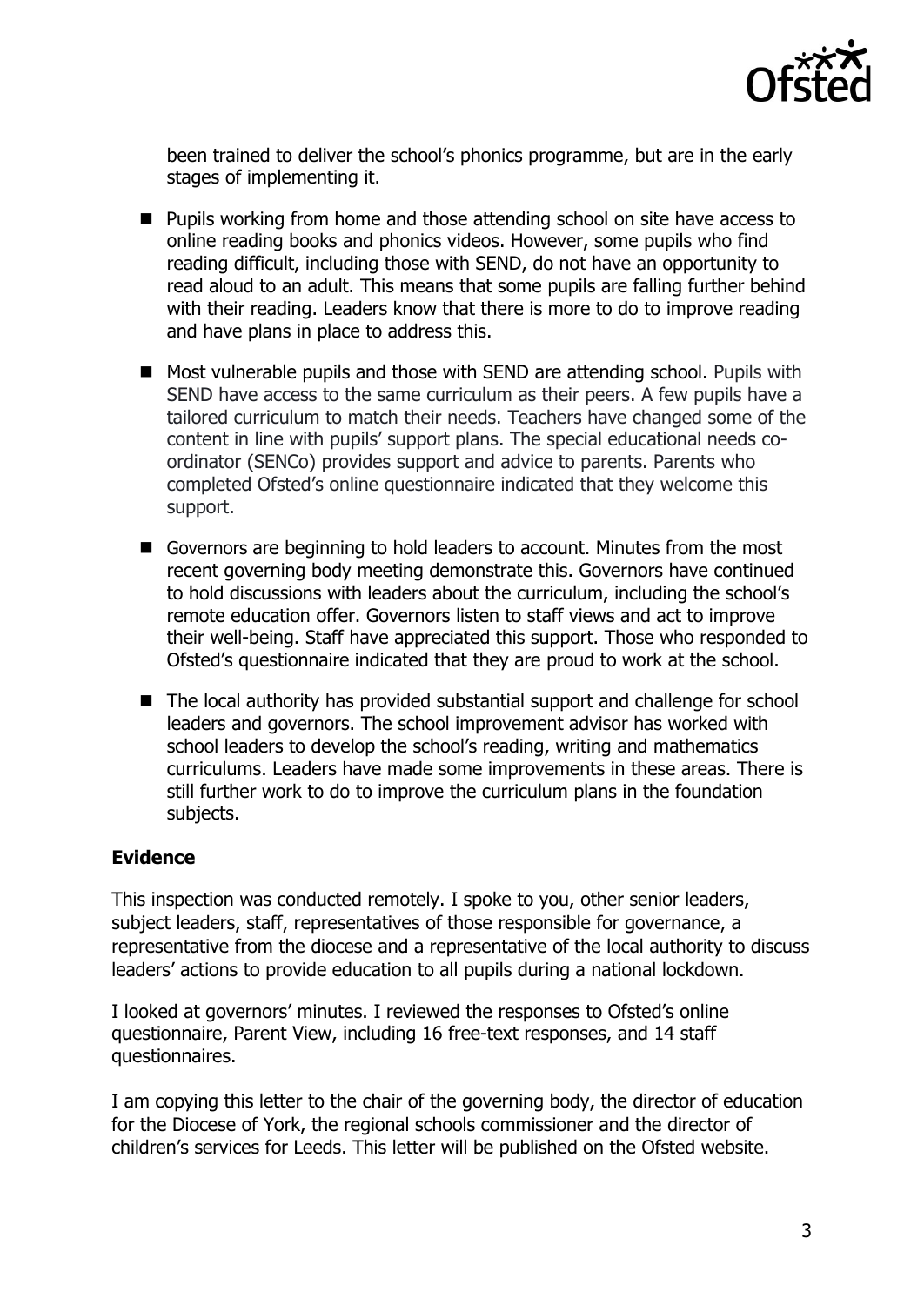

been trained to deliver the school's phonics programme, but are in the early stages of implementing it.

- Pupils working from home and those attending school on site have access to online reading books and phonics videos. However, some pupils who find reading difficult, including those with SEND, do not have an opportunity to read aloud to an adult. This means that some pupils are falling further behind with their reading. Leaders know that there is more to do to improve reading and have plans in place to address this.
- Most vulnerable pupils and those with SEND are attending school. Pupils with SEND have access to the same curriculum as their peers. A few pupils have a tailored curriculum to match their needs. Teachers have changed some of the content in line with pupils' support plans. The special educational needs coordinator (SENCo) provides support and advice to parents. Parents who completed Ofsted's online questionnaire indicated that they welcome this support.
- Governors are beginning to hold leaders to account. Minutes from the most recent governing body meeting demonstrate this. Governors have continued to hold discussions with leaders about the curriculum, including the school's remote education offer. Governors listen to staff views and act to improve their well-being. Staff have appreciated this support. Those who responded to Ofsted's questionnaire indicated that they are proud to work at the school.
- The local authority has provided substantial support and challenge for school leaders and governors. The school improvement advisor has worked with school leaders to develop the school's reading, writing and mathematics curriculums. Leaders have made some improvements in these areas. There is still further work to do to improve the curriculum plans in the foundation subjects.

# **Evidence**

This inspection was conducted remotely. I spoke to you, other senior leaders, subject leaders, staff, representatives of those responsible for governance, a representative from the diocese and a representative of the local authority to discuss leaders' actions to provide education to all pupils during a national lockdown.

I looked at governors' minutes. I reviewed the responses to Ofsted's online questionnaire, Parent View, including 16 free-text responses, and 14 staff questionnaires.

I am copying this letter to the chair of the governing body, the director of education for the Diocese of York, the regional schools commissioner and the director of children's services for Leeds. This letter will be published on the Ofsted website.